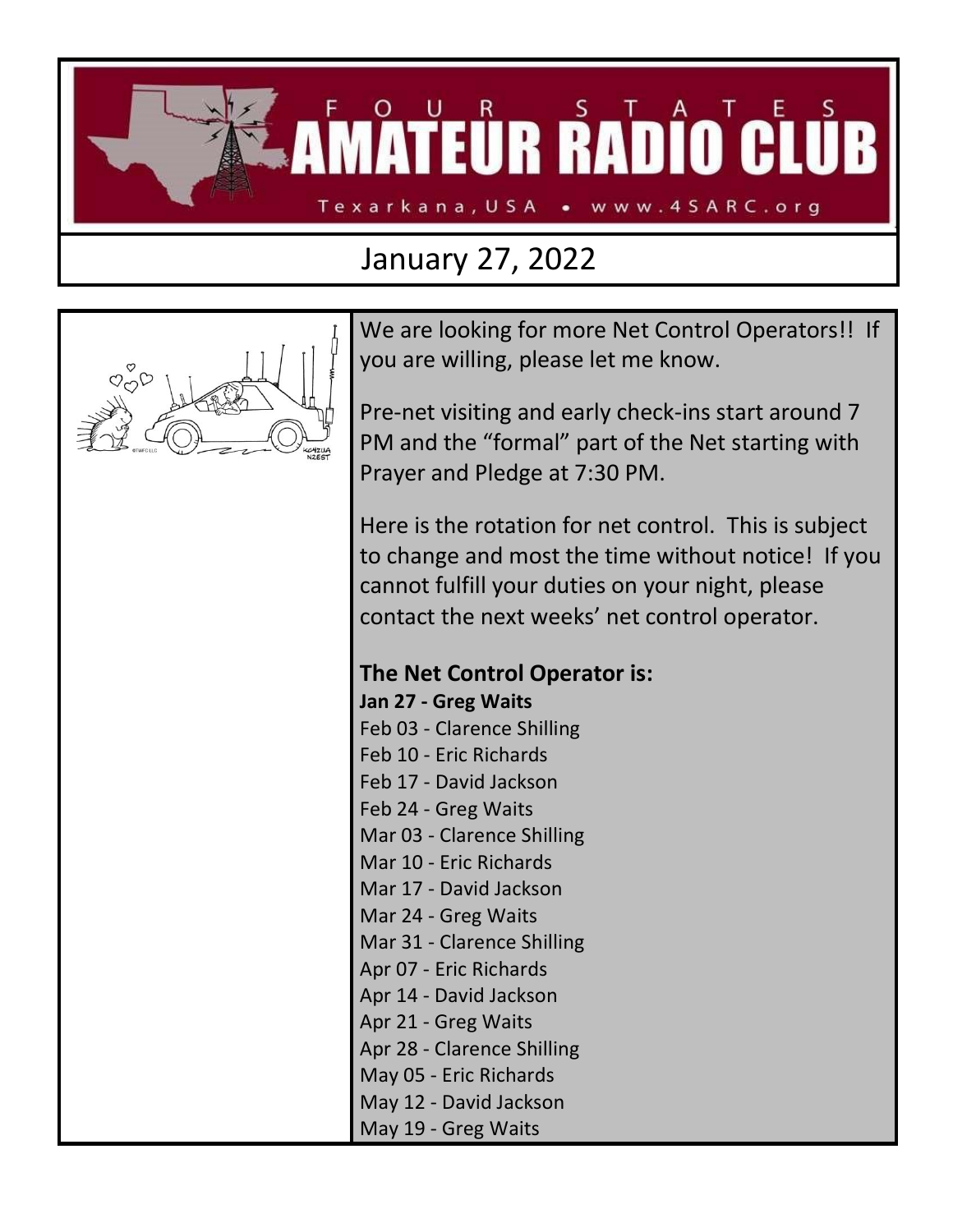**ITEÜR RADÎO CLUB** Texarkana, USA • www.4SARC.org

## January 27, 2022



We are looking for more Net Control Operators!! If you are willing, please let me know.

Pre-net visiting and early check-ins start around 7 PM and the "formal" part of the Net starting with Prayer and Pledge at 7:30 PM.

Here is the rotation for net control. This is subject to change and most the time without notice! If you cannot fulfill your duties on your night, please contact the next weeks' net control operator.

## **The Net Control Operator is:**

**Jan 27 - Greg Waits** Feb 03 - Clarence Shilling Feb 10 - Eric Richards Feb 17 - David Jackson Feb 24 - Greg Waits Mar 03 - Clarence Shilling Mar 10 - Eric Richards Mar 17 - David Jackson Mar 24 - Greg Waits Mar 31 - Clarence Shilling Apr 07 - Eric Richards Apr 14 - David Jackson Apr 21 - Greg Waits Apr 28 - Clarence Shilling May 05 - Eric Richards May 12 - David Jackson May 19 - Greg Waits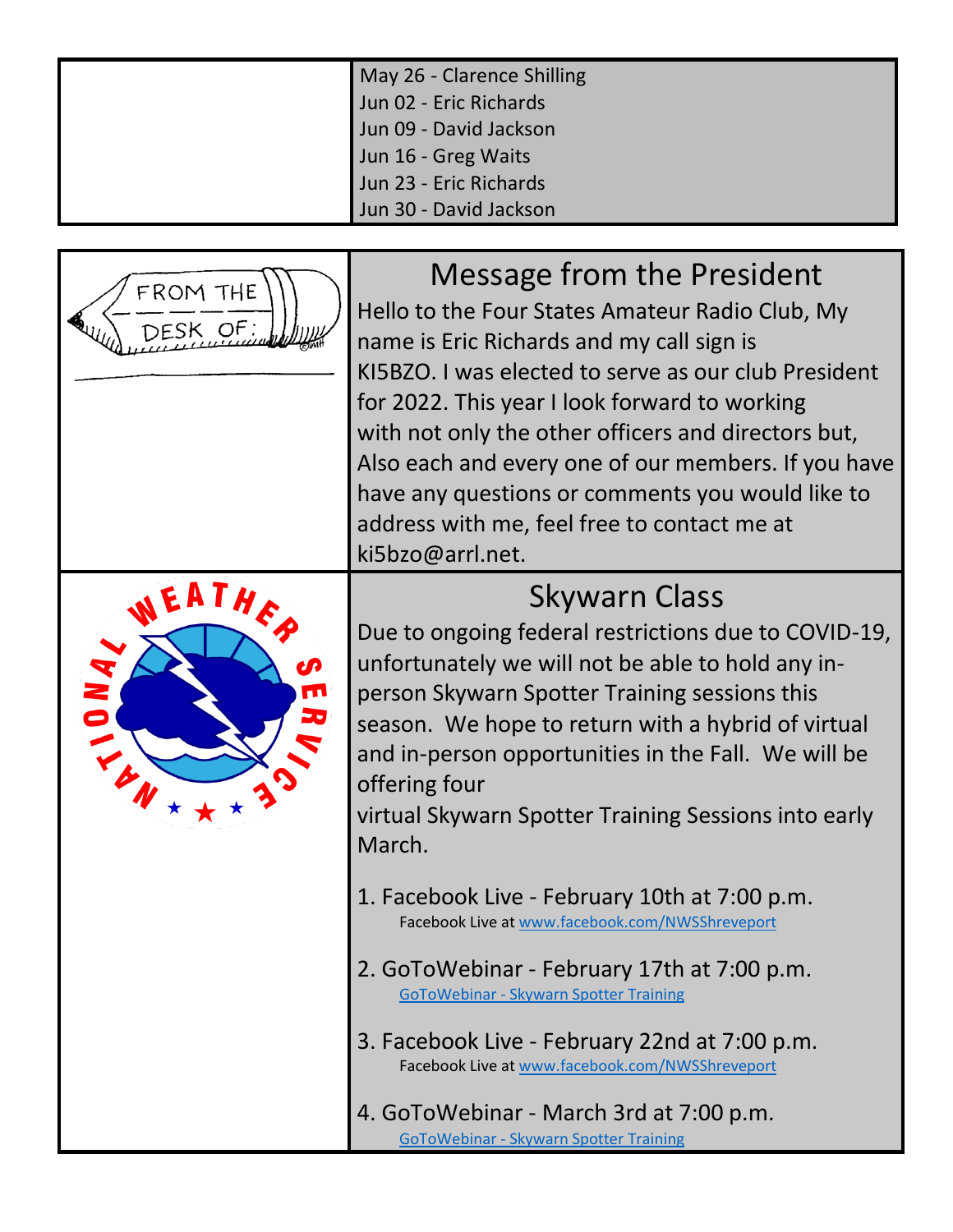| May 26 - Clarence Shilling |  |  |
|----------------------------|--|--|
| Jun 02 - Eric Richards     |  |  |
| Jun 09 - David Jackson     |  |  |
| Jun 16 - Greg Waits        |  |  |
| Jun 23 - Eric Richards     |  |  |
| Jun 30 - David Jackson     |  |  |



Message from the President

Hello to the Four States Amateur Radio Club, My name is Eric Richards and my call sign is KI5BZO. I was elected to serve as our club President for 2022. This year I look forward to working with not only the other officers and directors but, Also each and every one of our members. If you have have any questions or comments you would like to address with me, feel free to contact me at ki5bzo@arrl.net.



## Skywarn Class

Due to ongoing federal restrictions due to COVID-19, unfortunately we will not be able to hold any inperson Skywarn Spotter Training sessions this season. We hope to return with a hybrid of virtual and in-person opportunities in the Fall. We will be offering four

virtual Skywarn Spotter Training Sessions into early March.

- 1. Facebook Live February 10th at 7:00 p.m. Facebook Live at [www.facebook.com/NWSShreveport](http://www.facebook.com/NWSShreveport)
- 2. GoToWebinar February 17th at 7:00 p.m. GoToWebinar - [Skywarn Spotter Training](https://attendee.gotowebinar.com/register/1733670772809721611)
- 3. Facebook Live February 22nd at 7:00 p.m. Facebook Live at [www.facebook.com/NWSShreveport](http://www.facebook.com/NWSShreveport)
- 4. GoToWebinar March 3rd at 7:00 p.m. [GoToWebinar -](https://attendee.gotowebinar.com/register/8914336022721795341) Skywarn Spotter Training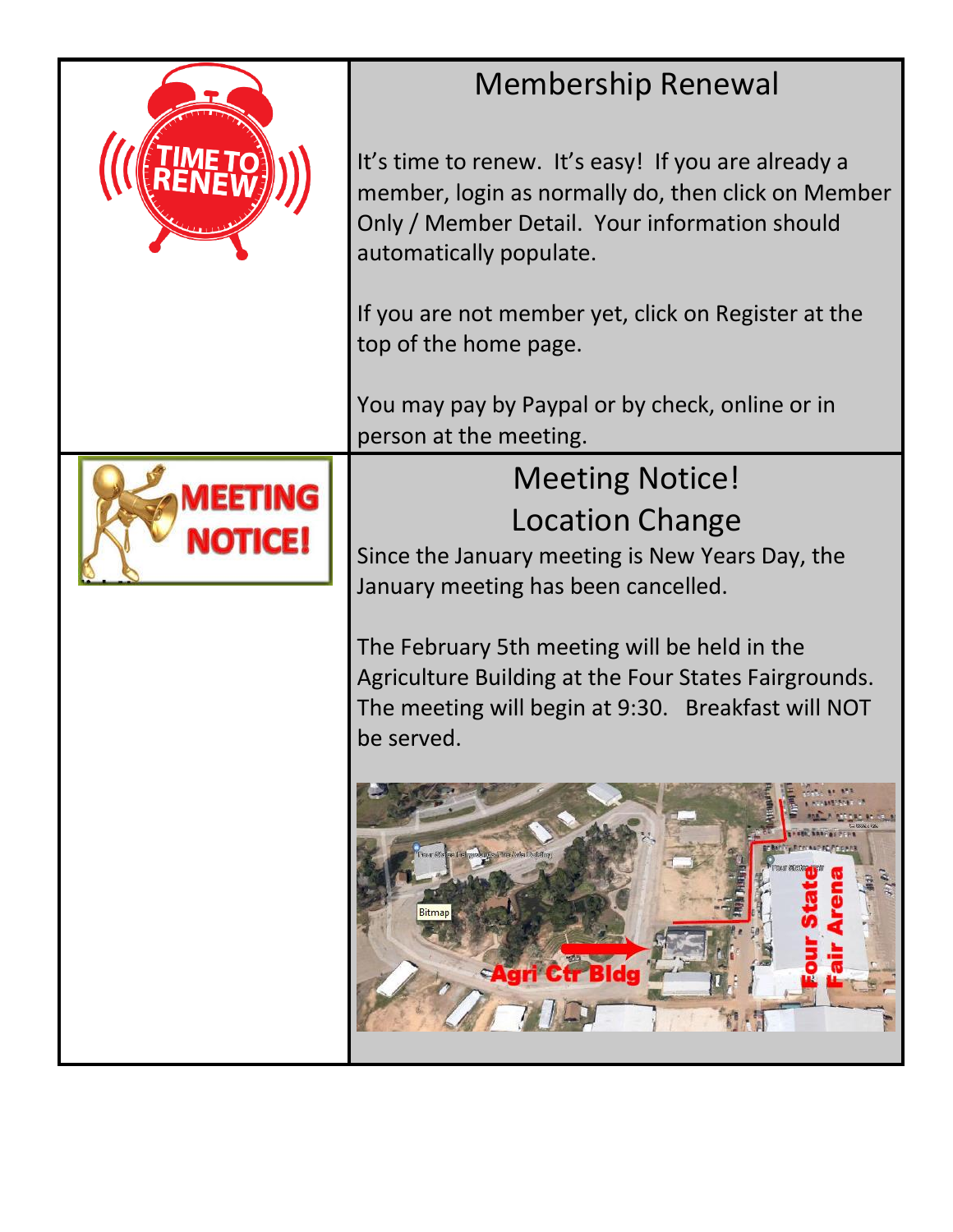| <b>Membership Renewal</b>                                                                                                                                                             |  |  |  |
|---------------------------------------------------------------------------------------------------------------------------------------------------------------------------------------|--|--|--|
| It's time to renew. It's easy! If you are already a<br>member, login as normally do, then click on Member<br>Only / Member Detail. Your information should<br>automatically populate. |  |  |  |
| If you are not member yet, click on Register at the<br>top of the home page.                                                                                                          |  |  |  |
| You may pay by Paypal or by check, online or in<br>person at the meeting.                                                                                                             |  |  |  |
| <b>Meeting Notice!</b>                                                                                                                                                                |  |  |  |
| <b>Location Change</b>                                                                                                                                                                |  |  |  |
| Since the January meeting is New Years Day, the<br>January meeting has been cancelled.                                                                                                |  |  |  |
| The February 5th meeting will be held in the<br>Agriculture Building at the Four States Fairgrounds.<br>The meeting will begin at 9:30. Breakfast will NOT<br>be served.              |  |  |  |
| less Freingatsbenühe Führer Reihe Fourteiling<br>Bitmap<br>tr Bldd                                                                                                                    |  |  |  |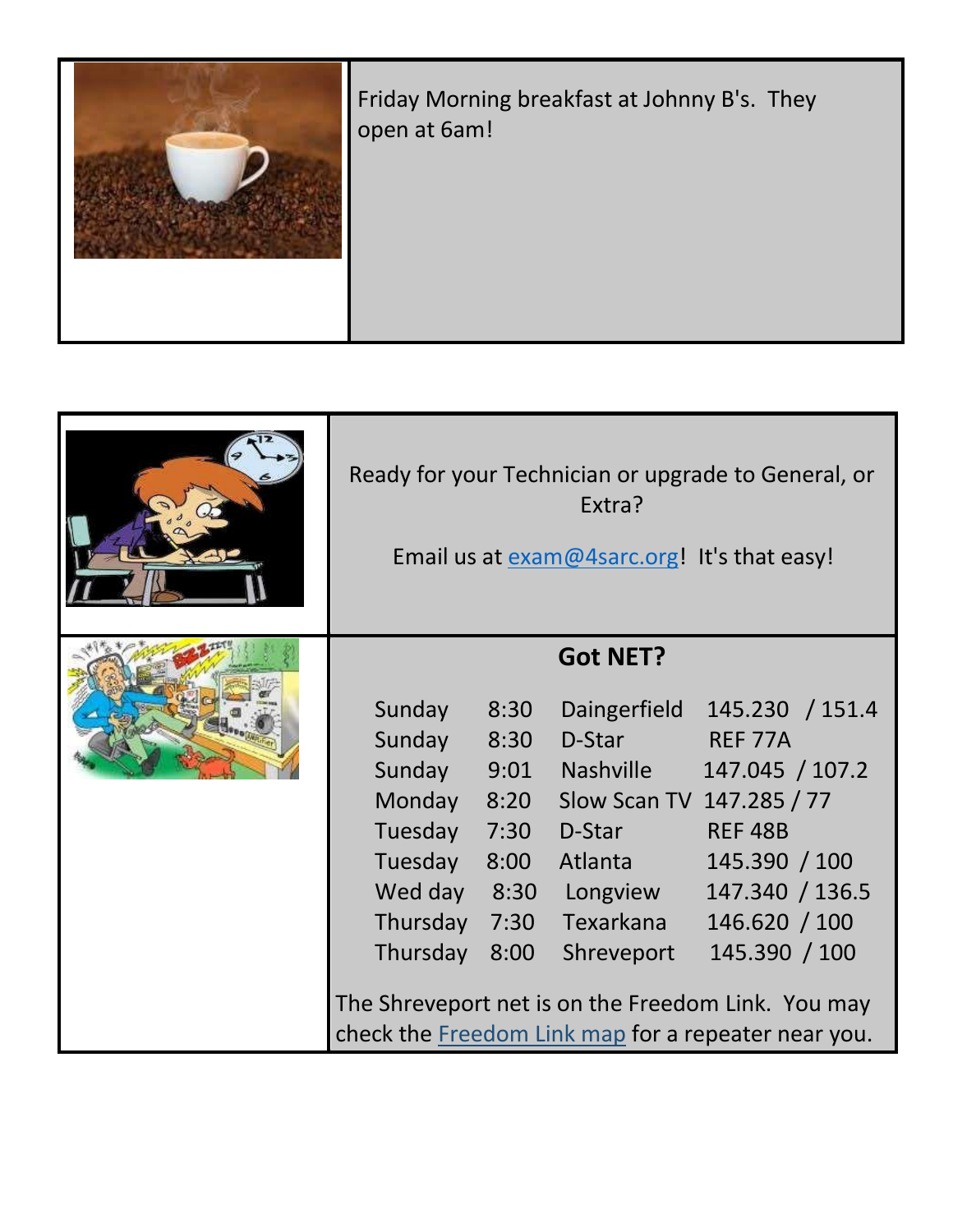

| Ready for your Technician or upgrade to General, or<br>Extra?<br>Email us at exam@4sarc.org! It's that easy! |                                                                      |                                                                                                                           |                                                                                                                                                                                                                                                                                 |
|--------------------------------------------------------------------------------------------------------------|----------------------------------------------------------------------|---------------------------------------------------------------------------------------------------------------------------|---------------------------------------------------------------------------------------------------------------------------------------------------------------------------------------------------------------------------------------------------------------------------------|
| Sunday<br>Sunday<br>Sunday<br>Monday<br>Tuesday<br>Tuesday<br>Wed day<br>Thursday<br>Thursday                | 8:30<br>8:30<br>9:01<br>8:20<br>7:30<br>8:00<br>8:30<br>7:30<br>8:00 | <b>Got NET?</b><br>Daingerfield<br>D-Star<br><b>Nashville</b><br>D-Star<br>Atlanta<br>Longview<br>Texarkana<br>Shreveport | 145.230 / 151.4<br>REF 77A<br>147.045 / 107.2<br>Slow Scan TV 147.285 / 77<br><b>REF 48B</b><br>145.390 / 100<br>147.340 / 136.5<br>146.620 / 100<br>145.390 / 100<br>The Shreveport net is on the Freedom Link. You may<br>check the Freedom Link map for a repeater near you. |